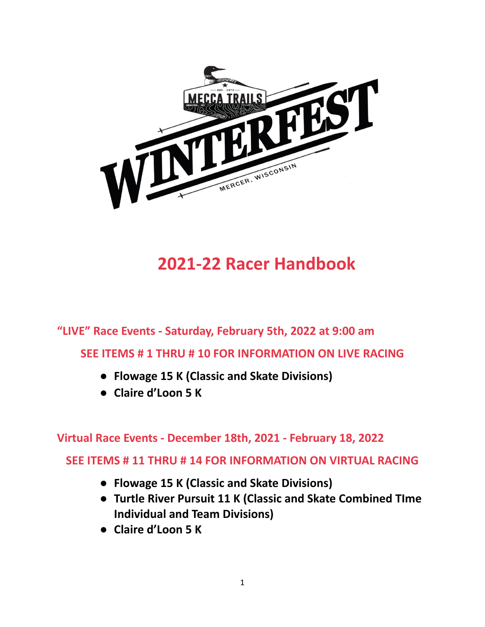

# **2021-22 Racer Handbook**

**"LIVE" Race Events - Saturday, February 5th, 2022 at 9:00 am**

**SEE ITEMS # 1 THRU # 10 FOR INFORMATION ON LIVE RACING**

- **● Flowage 15 K (Classic and Skate Divisions)**
- **● Claire d'Loon 5 K**

**Virtual Race Events - December 18th, 2021 - February 18, 2022**

**SEE ITEMS # 11 THRU # 14 FOR INFORMATION ON VIRTUAL RACING**

- **● Flowage 15 K (Classic and Skate Divisions)**
- **● Turtle River Pursuit 11 K (Classic and Skate Combined TIme Individual and Team Divisions)**
- **● Claire d'Loon 5 K**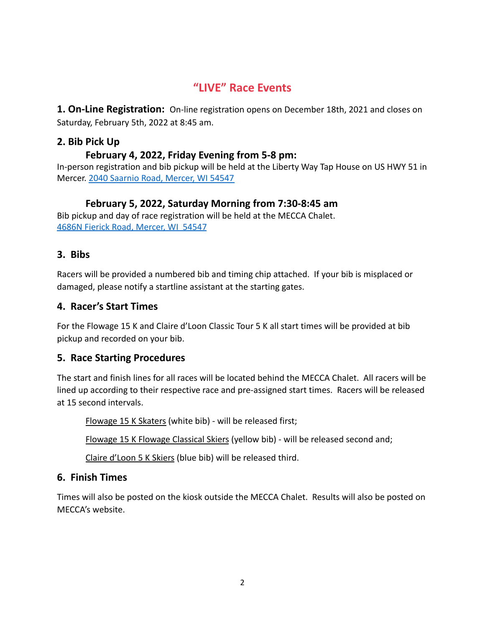# **"LIVE" Race Events**

**1. On-Line Registration:** On-line registration opens on December 18th, 2021 and closes on Saturday, February 5th, 2022 at 8:45 am.

#### **2. Bib Pick Up**

#### **February 4, 2022, Friday Evening from 5-8 pm:**

In-person registration and bib pickup will be held at the Liberty Way Tap House on US HWY 51 in Mercer. [2040 Saarnio Road, Mercer, WI 54547](https://www.google.com/maps/place/2040+Saarnio+Rd,+Mercer,+WI+54547/@46.1436081,-90.0312017,17z/data=!3m1!4b1!4m5!3m4!1s0x52aa00c534e6ecf9:0x10c455722e06c454!8m2!3d46.1436081!4d-90.029013)

## **February 5, 2022, Saturday Morning from 7:30-8:45 am**

Bib pickup and day of race registration will be held at the MECCA Chalet. [4686N Fierick Road, Mercer, WI 54547](https://www.google.com/maps/place/4686+Fierick+Rd,+Mercer,+WI+54547/@46.1453113,-90.0575113,17z/data=!3m1!4b1!4m8!1m2!2m1!1s4686N+Fierick+Road,+Mercer,+WI++545477!3m4!1s0x52aa01391aed4b17:0x160592c76e13abf!8m2!3d46.1453113!4d-90.0553173)

#### **3. Bibs**

Racers will be provided a numbered bib and timing chip attached. If your bib is misplaced or damaged, please notify a startline assistant at the starting gates.

#### **4. Racer's Start Times**

For the Flowage 15 K and Claire d'Loon Classic Tour 5 K all start times will be provided at bib pickup and recorded on your bib.

## **5. Race Starting Procedures**

The start and finish lines for all races will be located behind the MECCA Chalet. All racers will be lined up according to their respective race and pre-assigned start times. Racers will be released at 15 second intervals.

Flowage 15 K Skaters (white bib) - will be released first;

Flowage 15 K Flowage Classical Skiers (yellow bib) - will be released second and;

Claire d'Loon 5 K Skiers (blue bib) will be released third.

## **6. Finish Times**

Times will also be posted on the kiosk outside the MECCA Chalet. Results will also be posted on MECCA's website.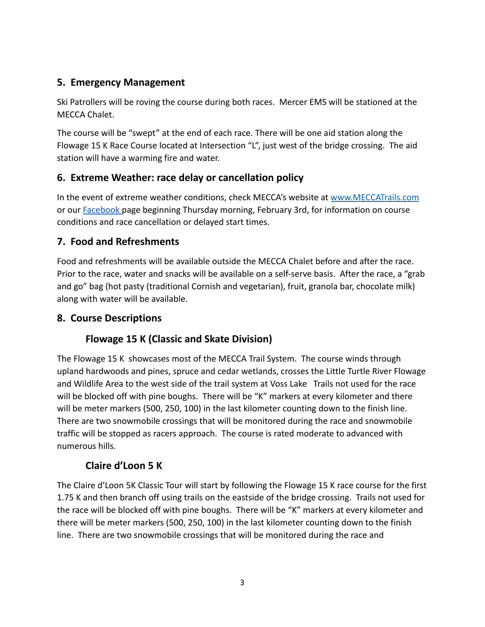## **5. Emergency Management**

Ski Patrollers will be roving the course during both races. Mercer EMS will be stationed at the MECCA Chalet.

The course will be "swept" at the end of each race. There will be one aid station along the Flowage 15 K Race Course located at Intersection "L", just west of the bridge crossing. The aid station will have a warming fire and water.

## **6. Extreme Weather: race delay or cancellation policy**

In the event of extreme weather conditions, check MECCA's website at [www.MECCATrails.com](http://www.turtleriverpursuit.com) or our [Facebook](https://www.facebook.com/MECCATrailsWinterfest) page beginning Thursday morning, February 3rd, for information on course conditions and race cancellation or delayed start times.

## **7. Food and Refreshments**

Food and refreshments will be available outside the MECCA Chalet before and after the race. Prior to the race, water and snacks will be available on a self-serve basis. After the race, a "grab and go" bag (hot pasty (traditional Cornish and vegetarian), fruit, granola bar, chocolate milk) along with water will be available.

## **8. Course Descriptions**

## **Flowage 15 K (Classic and Skate Division)**

The Flowage 15 K showcases most of the MECCA Trail System. The course winds through upland hardwoods and pines, spruce and cedar wetlands, crosses the Little Turtle River Flowage and Wildlife Area to the west side of the trail system at Voss Lake Trails not used for the race will be blocked off with pine boughs. There will be "K" markers at every kilometer and there will be meter markers (500, 250, 100) in the last kilometer counting down to the finish line. There are two snowmobile crossings that will be monitored during the race and snowmobile traffic will be stopped as racers approach. The course is rated moderate to advanced with numerous hills.

## **Claire d'Loon 5 K**

The Claire d'Loon 5K Classic Tour will start by following the Flowage 15 K race course for the first 1.75 K and then branch off using trails on the eastside of the bridge crossing. Trails not used for the race will be blocked off with pine boughs. There will be "K" markers at every kilometer and there will be meter markers (500, 250, 100) in the last kilometer counting down to the finish line. There are two snowmobile crossings that will be monitored during the race and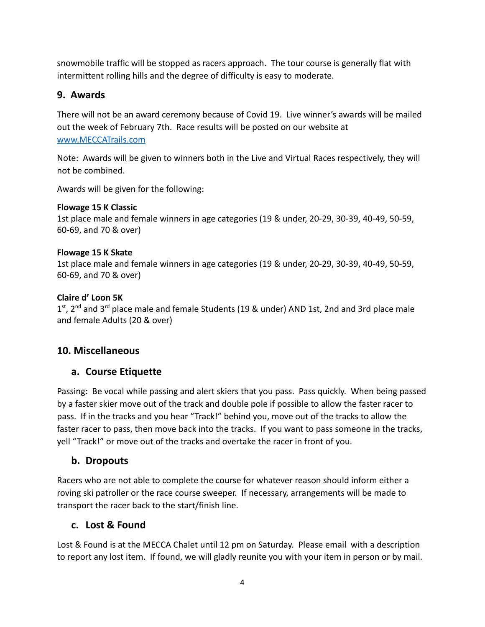snowmobile traffic will be stopped as racers approach. The tour course is generally flat with intermittent rolling hills and the degree of difficulty is easy to moderate.

## **9. Awards**

There will not be an award ceremony because of Covid 19. Live winner's awards will be mailed out the week of February 7th. Race results will be posted on our website at [www.MECCATrails.com](http://www.turtleriverpursuit.com)

Note: Awards will be given to winners both in the Live and Virtual Races respectively, they will not be combined.

Awards will be given for the following:

#### **Flowage 15 K Classic**

1st place male and female winners in age categories (19 & under, 20-29, 30-39, 40-49, 50-59, 60-69, and 70 & over)

#### **Flowage 15 K Skate**

1st place male and female winners in age categories (19 & under, 20-29, 30-39, 40-49, 50-59, 60-69, and 70 & over)

#### **Claire d' Loon 5K**

 $1<sup>st</sup>$ , 2<sup>nd</sup> and 3<sup>rd</sup> place male and female Students (19 & under) AND 1st, 2nd and 3rd place male and female Adults (20 & over)

## **10. Miscellaneous**

## **a. Course Etiquette**

Passing: Be vocal while passing and alert skiers that you pass. Pass quickly. When being passed by a faster skier move out of the track and double pole if possible to allow the faster racer to pass. If in the tracks and you hear "Track!" behind you, move out of the tracks to allow the faster racer to pass, then move back into the tracks. If you want to pass someone in the tracks, yell "Track!" or move out of the tracks and overtake the racer in front of you.

## **b. Dropouts**

Racers who are not able to complete the course for whatever reason should inform either a roving ski patroller or the race course sweeper. If necessary, arrangements will be made to transport the racer back to the start/finish line.

#### **c. Lost & Found**

Lost & Found is at the MECCA Chalet until 12 pm on Saturday. Please email with a description to report any lost item. If found, we will gladly reunite you with your item in person or by mail.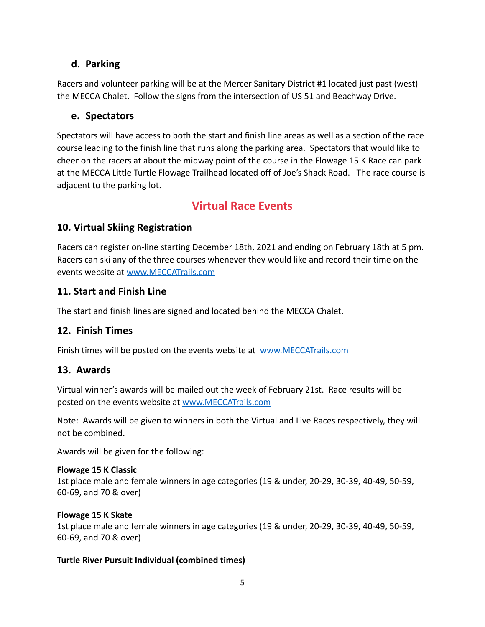## **d. Parking**

Racers and volunteer parking will be at the Mercer Sanitary District #1 located just past (west) the MECCA Chalet. Follow the signs from the intersection of US 51 and Beachway Drive.

#### **e. Spectators**

Spectators will have access to both the start and finish line areas as well as a section of the race course leading to the finish line that runs along the parking area. Spectators that would like to cheer on the racers at about the midway point of the course in the Flowage 15 K Race can park at the MECCA Little Turtle Flowage Trailhead located off of Joe's Shack Road. The race course is adjacent to the parking lot.

## **Virtual Race Events**

## **10. Virtual Skiing Registration**

Racers can register on-line starting December 18th, 2021 and ending on February 18th at 5 pm. Racers can ski any of the three courses whenever they would like and record their time on the events website at [www.MECCATrails.com](http://www.turtleriverpursuit.com)

#### **11. Start and Finish Line**

The start and finish lines are signed and located behind the MECCA Chalet.

## **12. Finish Times**

Finish times will be posted on the events website at [www.MECCATrails.com](http://www.turtleriverpursuit.com)

## **13. Awards**

Virtual winner's awards will be mailed out the week of February 21st. Race results will be posted on the events website at [www.MECCATrails.com](http://www.turtleriverpursuit.com)

Note: Awards will be given to winners in both the Virtual and Live Races respectively, they will not be combined.

Awards will be given for the following:

#### **Flowage 15 K Classic**

1st place male and female winners in age categories (19 & under, 20-29, 30-39, 40-49, 50-59, 60-69, and 70 & over)

#### **Flowage 15 K Skate**

1st place male and female winners in age categories (19 & under, 20-29, 30-39, 40-49, 50-59, 60-69, and 70 & over)

#### **Turtle River Pursuit Individual (combined times)**